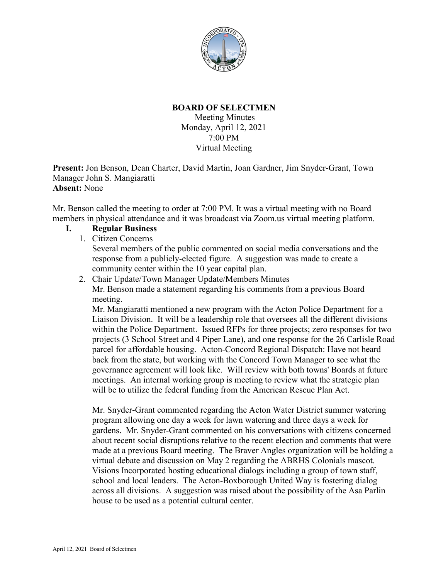

## **BOARD OF SELECTMEN**

Meeting Minutes Monday, April 12, 2021 7:00 PM Virtual Meeting

**Present:** Jon Benson, Dean Charter, David Martin, Joan Gardner, Jim Snyder-Grant, Town Manager John S. Mangiaratti **Absent:** None

Mr. Benson called the meeting to order at 7:00 PM. It was a virtual meeting with no Board members in physical attendance and it was broadcast via Zoom.us virtual meeting platform.

## **I. Regular Business**

1. Citizen Concerns

Several members of the public commented on social media conversations and the response from a publicly-elected figure. A suggestion was made to create a community center within the 10 year capital plan.

2. Chair Update/Town Manager Update/Members Minutes Mr. Benson made a statement regarding his comments from a previous Board meeting.

Mr. Mangiaratti mentioned a new program with the Acton Police Department for a Liaison Division. It will be a leadership role that oversees all the different divisions within the Police Department. Issued RFPs for three projects; zero responses for two projects (3 School Street and 4 Piper Lane), and one response for the 26 Carlisle Road parcel for affordable housing. Acton-Concord Regional Dispatch: Have not heard back from the state, but working with the Concord Town Manager to see what the governance agreement will look like. Will review with both towns' Boards at future meetings. An internal working group is meeting to review what the strategic plan will be to utilize the federal funding from the American Rescue Plan Act.

Mr. Snyder-Grant commented regarding the Acton Water District summer watering program allowing one day a week for lawn watering and three days a week for gardens. Mr. Snyder-Grant commented on his conversations with citizens concerned about recent social disruptions relative to the recent election and comments that were made at a previous Board meeting. The Braver Angles organization will be holding a virtual debate and discussion on May 2 regarding the ABRHS Colonials mascot. Visions Incorporated hosting educational dialogs including a group of town staff, school and local leaders. The Acton-Boxborough United Way is fostering dialog across all divisions. A suggestion was raised about the possibility of the Asa Parlin house to be used as a potential cultural center.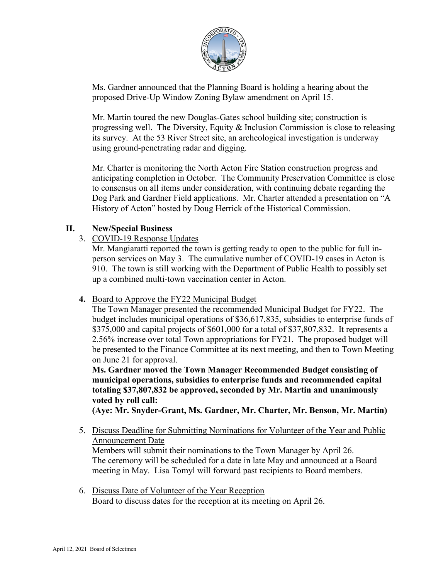

Ms. Gardner announced that the Planning Board is holding a hearing about the proposed Drive-Up Window Zoning Bylaw amendment on April 15.

Mr. Martin toured the new Douglas-Gates school building site; construction is progressing well. The Diversity, Equity  $\&$  Inclusion Commission is close to releasing its survey. At the 53 River Street site, an archeological investigation is underway using ground-penetrating radar and digging.

Mr. Charter is monitoring the North Acton Fire Station construction progress and anticipating completion in October. The Community Preservation Committee is close to consensus on all items under consideration, with continuing debate regarding the Dog Park and Gardner Field applications. Mr. Charter attended a presentation on "A History of Acton" hosted by Doug Herrick of the Historical Commission.

## **II. New/Special Business**

3. COVID-19 Response Updates

Mr. Mangiaratti reported the town is getting ready to open to the public for full inperson services on May 3. The cumulative number of COVID-19 cases in Acton is 910. The town is still working with the Department of Public Health to possibly set up a combined multi-town vaccination center in Acton.

**4.** Board to Approve the FY22 Municipal Budget

The Town Manager presented the recommended Municipal Budget for FY22. The budget includes municipal operations of \$36,617,835, subsidies to enterprise funds of \$375,000 and capital projects of \$601,000 for a total of \$37,807,832. It represents a 2.56% increase over total Town appropriations for FY21. The proposed budget will be presented to the Finance Committee at its next meeting, and then to Town Meeting on June 21 for approval.

**Ms. Gardner moved the Town Manager Recommended Budget consisting of municipal operations, subsidies to enterprise funds and recommended capital totaling \$37,807,832 be approved, seconded by Mr. Martin and unanimously voted by roll call:**

**(Aye: Mr. Snyder-Grant, Ms. Gardner, Mr. Charter, Mr. Benson, Mr. Martin)**

5. Discuss Deadline for Submitting Nominations for Volunteer of the Year and Public Announcement Date Members will submit their nominations to the Town Manager by April 26. The ceremony will be scheduled for a date in late May and announced at a Board

meeting in May. Lisa Tomyl will forward past recipients to Board members.

6. Discuss Date of Volunteer of the Year Reception Board to discuss dates for the reception at its meeting on April 26.